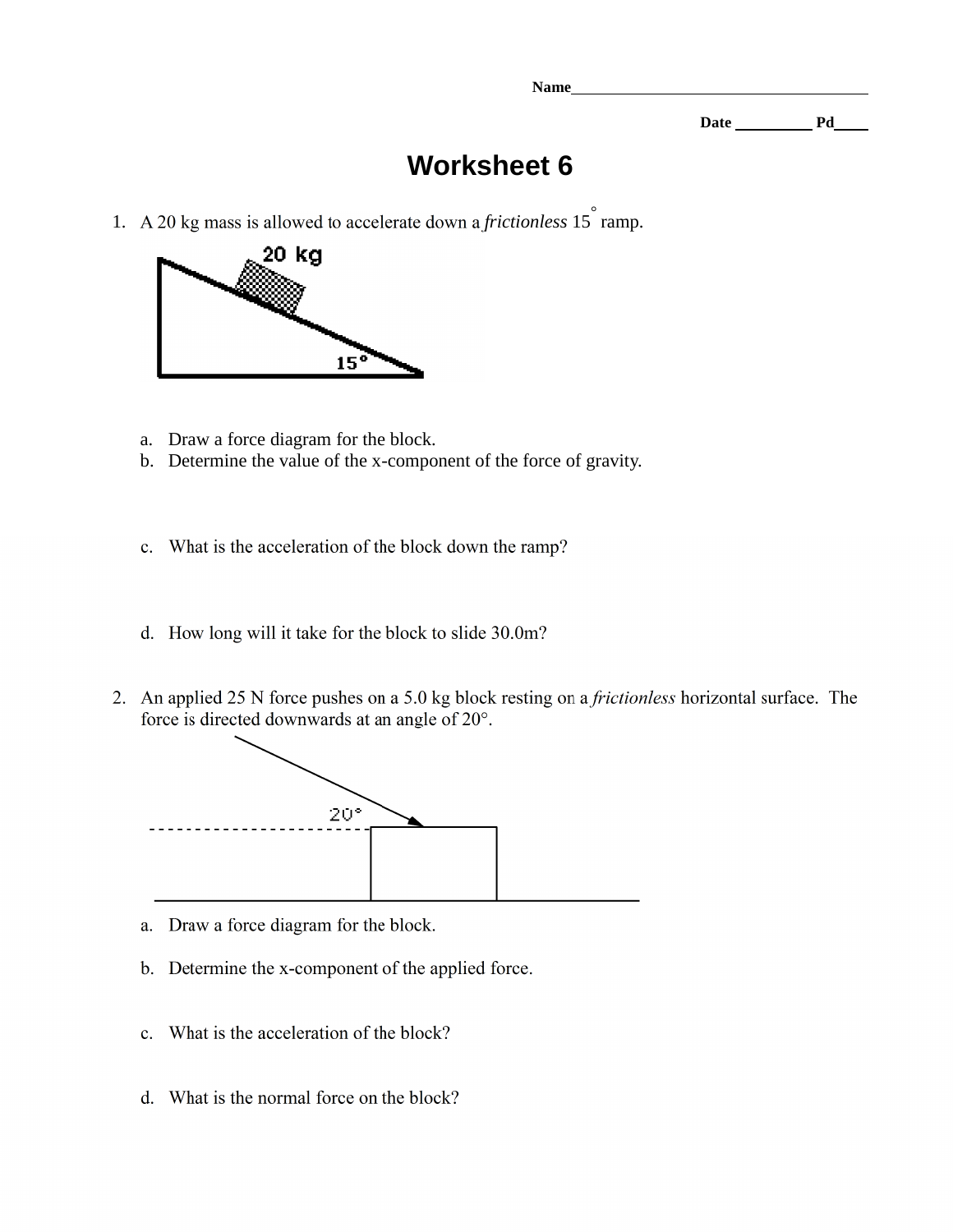**Name** 

**Date Pd** 

## **Worksheet 6**

1. A 20 kg mass is allowed to accelerate down a *frictionless*  $15\degree$  ramp.



- a. Draw a force diagram for the block.
- b. Determine the value of the x-component of the force of gravity.
- c. What is the acceleration of the block down the ramp?
- d. How long will it take for the block to slide 30.0m?
- 2. An applied 25 N force pushes on a 5.0 kg block resting on a *frictionless* horizontal surface. The force is directed downwards at an angle of 20°.



- a. Draw a force diagram for the block.
- b. Determine the x-component of the applied force.
- c. What is the acceleration of the block?
- d. What is the normal force on the block?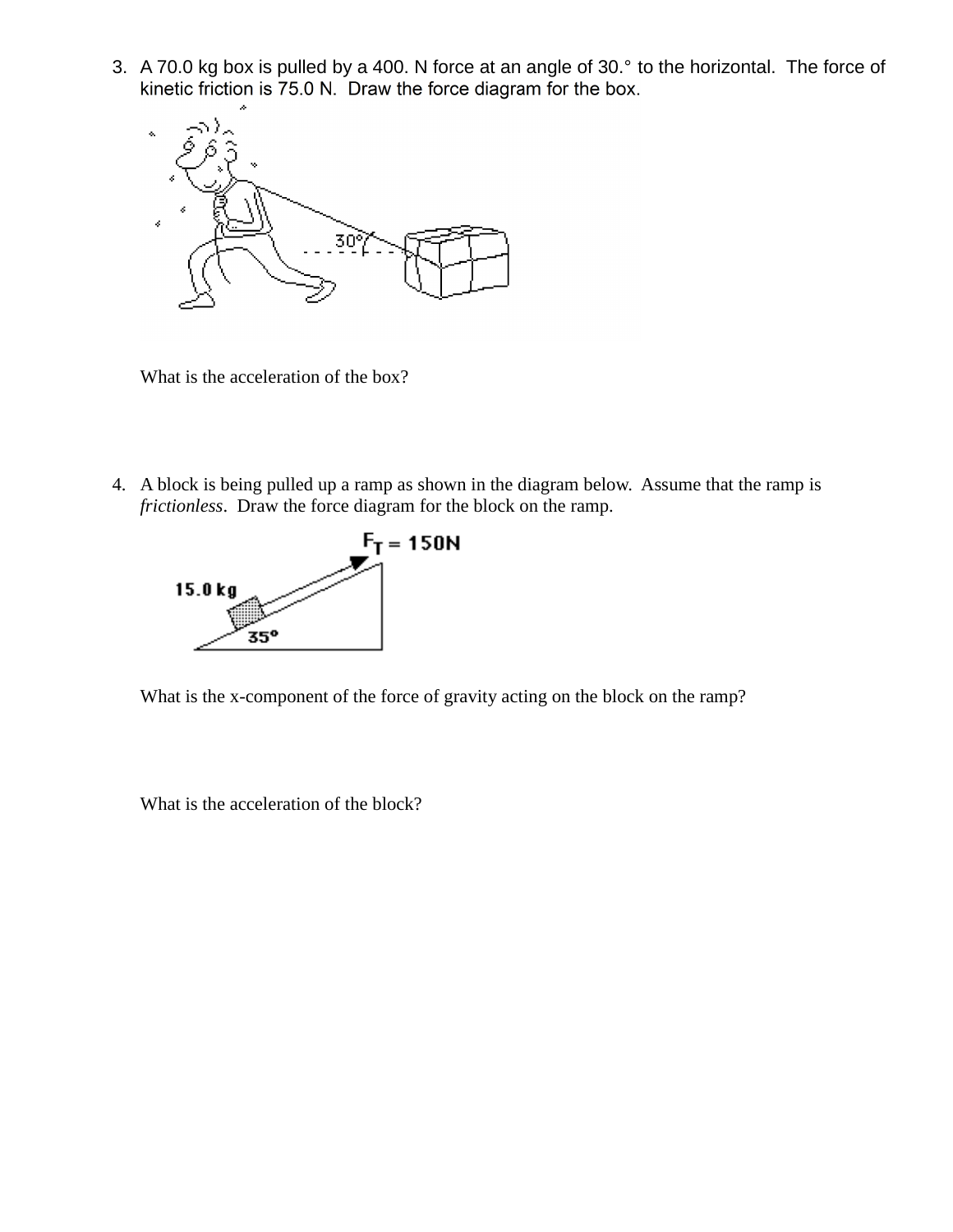3. A 70.0 kg box is pulled by a 400. N force at an angle of 30.° to the horizontal. The force of kinetic friction is 75.0 N. Draw the force diagram for the box.



What is the acceleration of the box?

4. A block is being pulled up a ramp as shown in the diagram below. Assume that the ramp is *frictionless*. Draw the force diagram for the block on the ramp.



What is the x-component of the force of gravity acting on the block on the ramp?

What is the acceleration of the block?